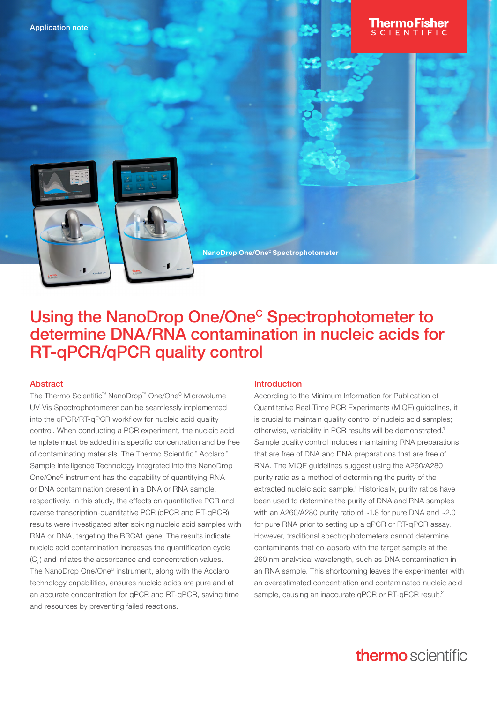



NanoDrop One/One<sup>c</sup> Spectrophotometer

# Using the NanoDrop One/One<sup>c</sup> Spectrophotometer to determine DNA/RNA contamination in nucleic acids for RT-qPCR/qPCR quality control

#### Abstract

The Thermo Scientific™ NanoDrop™ One/One<sup>c</sup> Microvolume UV-Vis Spectrophotometer can be seamlessly implemented into the qPCR/RT-qPCR workflow for nucleic acid quality control. When conducting a PCR experiment, the nucleic acid template must be added in a specific concentration and be free of contaminating materials. The Thermo Scientific™ Acclaro™ Sample Intelligence Technology integrated into the NanoDrop One/One<sup>c</sup> instrument has the capability of quantifying RNA or DNA contamination present in a DNA or RNA sample, respectively. In this study, the effects on quantitative PCR and reverse transcription-quantitative PCR (qPCR and RT-qPCR) results were investigated after spiking nucleic acid samples with RNA or DNA, targeting the BRCA1 gene. The results indicate nucleic acid contamination increases the quantification cycle  $(C_{a})$  and inflates the absorbance and concentration values. The NanoDrop One/One<sup>c</sup> instrument, along with the Acclaro technology capabilities, ensures nucleic acids are pure and at an accurate concentration for qPCR and RT-qPCR, saving time and resources by preventing failed reactions.

#### Introduction

According to the Minimum Information for Publication of Quantitative Real-Time PCR Experiments (MIQE) guidelines, it is crucial to maintain quality control of nucleic acid samples; otherwise, variability in PCR results will be demonstrated.<sup>1</sup> Sample quality control includes maintaining RNA preparations that are free of DNA and DNA preparations that are free of RNA. The MIQE guidelines suggest using the A260/A280 purity ratio as a method of determining the purity of the extracted nucleic acid sample.<sup>1</sup> Historically, purity ratios have been used to determine the purity of DNA and RNA samples with an A260/A280 purity ratio of ~1.8 for pure DNA and ~2.0 for pure RNA prior to setting up a qPCR or RT-qPCR assay. However, traditional spectrophotometers cannot determine contaminants that co-absorb with the target sample at the 260 nm analytical wavelength, such as DNA contamination in an RNA sample. This shortcoming leaves the experimenter with an overestimated concentration and contaminated nucleic acid sample, causing an inaccurate qPCR or RT-qPCR result.<sup>2</sup>

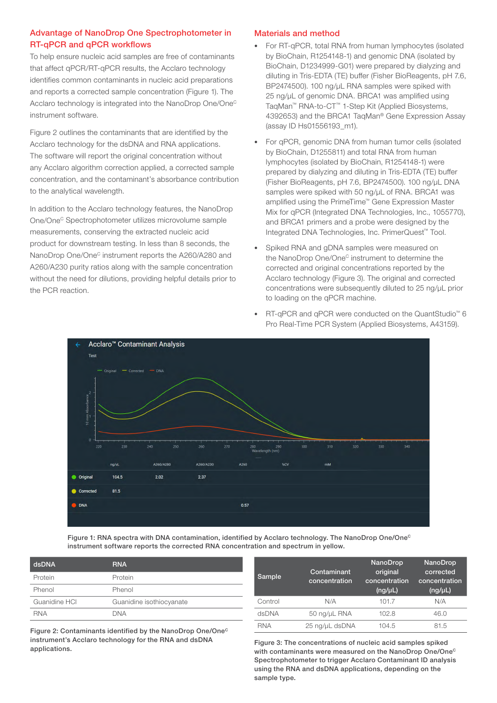## Advantage of NanoDrop One Spectrophotometer in RT-qPCR and qPCR workflows

To help ensure nucleic acid samples are free of contaminants that affect qPCR/RT-qPCR results, the Acclaro technology identifies common contaminants in nucleic acid preparations and reports a corrected sample concentration (Figure 1). The Acclaro technology is integrated into the NanoDrop One/One<sup>c</sup> instrument software.

Figure 2 outlines the contaminants that are identified by the Acclaro technology for the dsDNA and RNA applications. The software will report the original concentration without any Acclaro algorithm correction applied, a corrected sample concentration, and the contaminant's absorbance contribution to the analytical wavelength.

In addition to the Acclaro technology features, the NanoDrop One/OneC Spectrophotometer utilizes microvolume sample measurements, conserving the extracted nucleic acid product for downstream testing. In less than 8 seconds, the NanoDrop One/One<sup>c</sup> instrument reports the A260/A280 and A260/A230 purity ratios along with the sample concentration without the need for dilutions, providing helpful details prior to the PCR reaction.

### Materials and method

- For RT-qPCR, total RNA from human lymphocytes (isolated by BioChain, R1254148-1) and genomic DNA (isolated by BioChain, D1234999-G01) were prepared by dialyzing and diluting in Tris-EDTA (TE) buffer (Fisher BioReagents, pH 7.6, BP2474500). 100 ng/µL RNA samples were spiked with 25 ng/uL of genomic DNA. BRCA1 was amplified using TaqMan™ RNA-to-CT™ 1-Step Kit (Applied Biosystems, 4392653) and the BRCA1 TaqMan® Gene Expression Assay (assay ID Hs01556193\_m1).
- For qPCR, genomic DNA from human tumor cells (isolated by BioChain, D1255811) and total RNA from human lymphocytes (isolated by BioChain, R1254148-1) were prepared by dialyzing and diluting in Tris-EDTA (TE) buffer (Fisher BioReagents, pH 7.6, BP2474500). 100 ng/µL DNA samples were spiked with 50 ng/uL of RNA. BRCA1 was amplified using the PrimeTime™ Gene Expression Master Mix for qPCR (Integrated DNA Technologies, Inc., 1055770), and BRCA1 primers and a probe were designed by the Integrated DNA Technologies, Inc. PrimerQuest™ Tool.
- Spiked RNA and gDNA samples were measured on the NanoDrop One/One<sup>c</sup> instrument to determine the corrected and original concentrations reported by the Acclaro technology (Figure 3). The original and corrected concentrations were subsequently diluted to 25 ng/µL prior to loading on the qPCR machine.
- RT-qPCR and qPCR were conducted on the QuantStudio™ 6 Pro Real-Time PCR System (Applied Biosystems, A43159).



Figure 1: RNA spectra with DNA contamination, identified by Acclaro technology. The NanoDrop One/One<sup>c</sup> instrument software reports the corrected RNA concentration and spectrum in yellow.

| dsDNA         | <b>RNA</b>               |
|---------------|--------------------------|
| Protein       | Protein                  |
| Phenol        | Phenol                   |
| Guanidine HCI | Guanidine isothiocyanate |
| <b>RNA</b>    | DNA                      |

Figure 2: Contaminants identified by the NanoDrop One/One<sup>c</sup> instrument's Acclaro technology for the RNA and dsDNA applications.

| Sample  | Contaminant<br>concentration | <b>NanoDrop</b><br>original<br>concentration<br>$(ng/\mu L)$ | NanoDrop<br>corrected<br>concentration<br>(ng/µL) |
|---------|------------------------------|--------------------------------------------------------------|---------------------------------------------------|
| Control | N/A                          | 101.7                                                        | N/A                                               |
| dsDNA   | 50 ng/µL RNA                 | 102.8                                                        | 46.0                                              |
| RNA     | 25 ng/µL dsDNA               | 104.5                                                        | 81.5                                              |

Figure 3: The concentrations of nucleic acid samples spiked with contaminants were measured on the NanoDrop One/One<sup>c</sup> Spectrophotometer to trigger Acclaro Contaminant ID analysis using the RNA and dsDNA applications, depending on the sample type.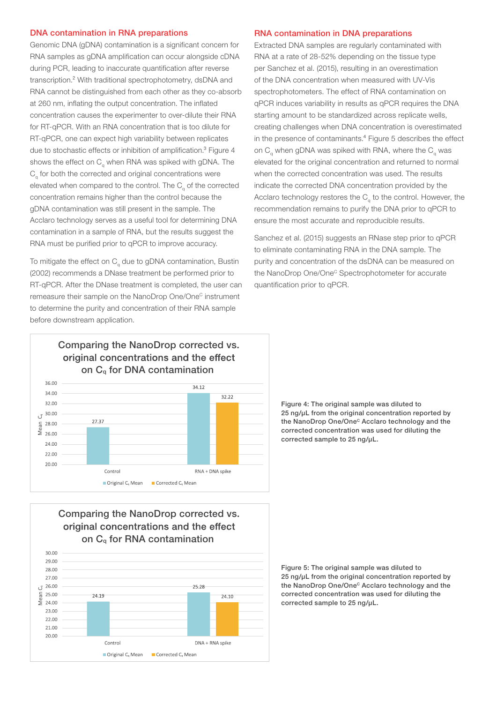### DNA contamination in RNA preparations

Genomic DNA (gDNA) contamination is a significant concern for RNA samples as gDNA amplification can occur alongside cDNA during PCR, leading to inaccurate quantification after reverse transcription.² With traditional spectrophotometry, dsDNA and RNA cannot be distinguished from each other as they co-absorb at 260 nm, inflating the output concentration. The inflated concentration causes the experimenter to over-dilute their RNA for RT-qPCR. With an RNA concentration that is too dilute for RT-qPCR, one can expect high variability between replicates due to stochastic effects or inhibition of amplification.<sup>3</sup> Figure 4 shows the effect on  $C_{q}$  when RNA was spiked with gDNA. The  $C<sub>a</sub>$  for both the corrected and original concentrations were elevated when compared to the control. The  $C<sub>a</sub>$  of the corrected concentration remains higher than the control because the gDNA contamination was still present in the sample. The Acclaro technology serves as a useful tool for determining DNA contamination in a sample of RNA, but the results suggest the RNA must be purified prior to qPCR to improve accuracy.

To mitigate the effect on  $C_q$  due to gDNA contamination, Bustin (2002) recommends a DNase treatment be performed prior to RT-qPCR. After the DNase treatment is completed, the user can remeasure their sample on the NanoDrop One/One<sup>c</sup> instrument to determine the purity and concentration of their RNA sample before downstream application.

### RNA contamination in DNA preparations

Extracted DNA samples are regularly contaminated with RNA at a rate of 28-52% depending on the tissue type per Sanchez et al. (2015), resulting in an overestimation of the DNA concentration when measured with UV-Vis spectrophotometers. The effect of RNA contamination on qPCR induces variability in results as qPCR requires the DNA starting amount to be standardized across replicate wells, creating challenges when DNA concentration is overestimated in the presence of contaminants.<sup>4</sup> Figure 5 describes the effect on  $C_{a}$  when gDNA was spiked with RNA, where the  $C_{a}$  was elevated for the original concentration and returned to normal when the corrected concentration was used. The results indicate the corrected DNA concentration provided by the Acclaro technology restores the  $C<sub>a</sub>$  to the control. However, the recommendation remains to purify the DNA prior to qPCR to ensure the most accurate and reproducible results.

Sanchez et al. (2015) suggests an RNase step prior to qPCR to eliminate contaminating RNA in the DNA sample. The purity and concentration of the dsDNA can be measured on the NanoDrop One/One<sup>c</sup> Spectrophotometer for accurate quantification prior to qPCR.



Comparing the NanoDrop corrected vs. original concentrations and the effect on Cq for RNA contamination



Figure 4: The original sample was diluted to 25 ng/uL from the original concentration reported by the NanoDrop One/One<sup>c</sup> Acclaro technology and the corrected concentration was used for diluting the corrected sample to 25 ng/μL.

Figure 5: The original sample was diluted to 25 ng/µL from the original concentration reported by the NanoDrop One/One<sup>c</sup> Acclaro technology and the corrected concentration was used for diluting the corrected sample to 25 ng/µL.